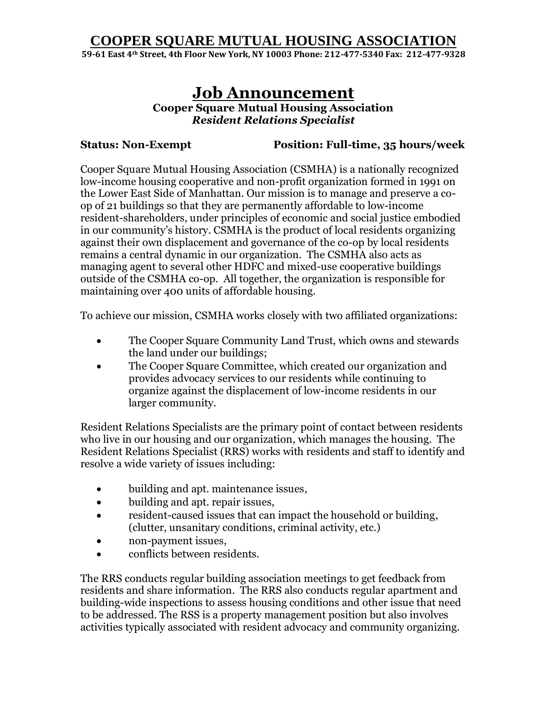## **COOPER SQUARE MUTUAL HOUSING ASSOCIATION**

**59-61 East 4th Street, 4th Floor New York, NY 10003 Phone: 212-477-5340 Fax: 212-477-9328**

# **Job Announcement**

**Cooper Square Mutual Housing Association**  *Resident Relations Specialist*

**Status: Non-Exempt Position: Full-time, 35 hours/week**

Cooper Square Mutual Housing Association (CSMHA) is a nationally recognized low-income housing cooperative and non-profit organization formed in 1991 on the Lower East Side of Manhattan. Our mission is to manage and preserve a coop of 21 buildings so that they are permanently affordable to low-income resident-shareholders, under principles of economic and social justice embodied in our community's history. CSMHA is the product of local residents organizing against their own displacement and governance of the co-op by local residents remains a central dynamic in our organization. The CSMHA also acts as managing agent to several other HDFC and mixed-use cooperative buildings outside of the CSMHA co-op. All together, the organization is responsible for maintaining over 400 units of affordable housing.

To achieve our mission, CSMHA works closely with two affiliated organizations:

- The Cooper Square Community Land Trust, which owns and stewards the land under our buildings;
- The Cooper Square Committee, which created our organization and provides advocacy services to our residents while continuing to organize against the displacement of low-income residents in our larger community.

Resident Relations Specialists are the primary point of contact between residents who live in our housing and our organization, which manages the housing. The Resident Relations Specialist (RRS) works with residents and staff to identify and resolve a wide variety of issues including:

- building and apt. maintenance issues,
- building and apt. repair issues,
- resident-caused issues that can impact the household or building, (clutter, unsanitary conditions, criminal activity, etc.)
- non-payment issues,
- conflicts between residents.

The RRS conducts regular building association meetings to get feedback from residents and share information. The RRS also conducts regular apartment and building-wide inspections to assess housing conditions and other issue that need to be addressed. The RSS is a property management position but also involves activities typically associated with resident advocacy and community organizing.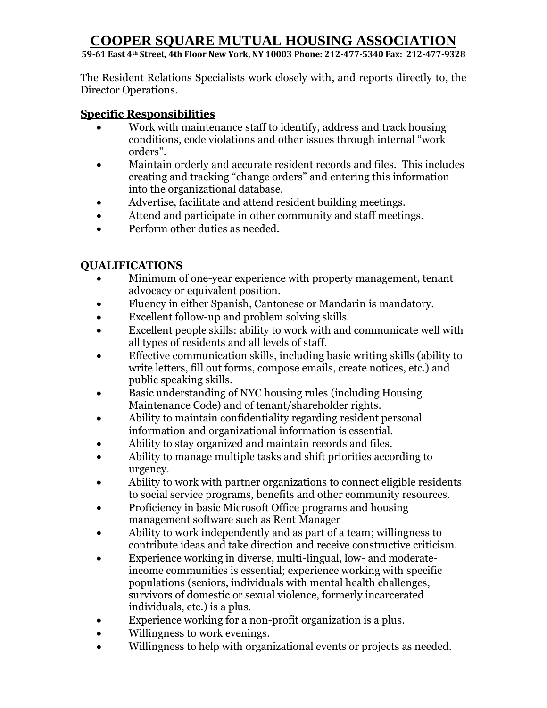# **COOPER SQUARE MUTUAL HOUSING ASSOCIATION**

**59-61 East 4th Street, 4th Floor New York, NY 10003 Phone: 212-477-5340 Fax: 212-477-9328**

The Resident Relations Specialists work closely with, and reports directly to, the Director Operations.

## **Specific Responsibilities**

- Work with maintenance staff to identify, address and track housing conditions, code violations and other issues through internal "work orders".
- Maintain orderly and accurate resident records and files. This includes creating and tracking "change orders" and entering this information into the organizational database.
- Advertise, facilitate and attend resident building meetings.
- Attend and participate in other community and staff meetings.
- Perform other duties as needed.

## **QUALIFICATIONS**

- Minimum of one-year experience with property management, tenant advocacy or equivalent position.
- Fluency in either Spanish, Cantonese or Mandarin is mandatory.
- Excellent follow-up and problem solving skills.
- Excellent people skills: ability to work with and communicate well with all types of residents and all levels of staff.
- Effective communication skills, including basic writing skills (ability to write letters, fill out forms, compose emails, create notices, etc.) and public speaking skills.
- Basic understanding of NYC housing rules (including Housing Maintenance Code) and of tenant/shareholder rights.
- Ability to maintain confidentiality regarding resident personal information and organizational information is essential.
- Ability to stay organized and maintain records and files.
- Ability to manage multiple tasks and shift priorities according to urgency.
- Ability to work with partner organizations to connect eligible residents to social service programs, benefits and other community resources.
- Proficiency in basic Microsoft Office programs and housing management software such as Rent Manager
- Ability to work independently and as part of a team; willingness to contribute ideas and take direction and receive constructive criticism.
- Experience working in diverse, multi-lingual, low- and moderateincome communities is essential; experience working with specific populations (seniors, individuals with mental health challenges, survivors of domestic or sexual violence, formerly incarcerated individuals, etc.) is a plus.
- Experience working for a non-profit organization is a plus.
- Willingness to work evenings.
- Willingness to help with organizational events or projects as needed.